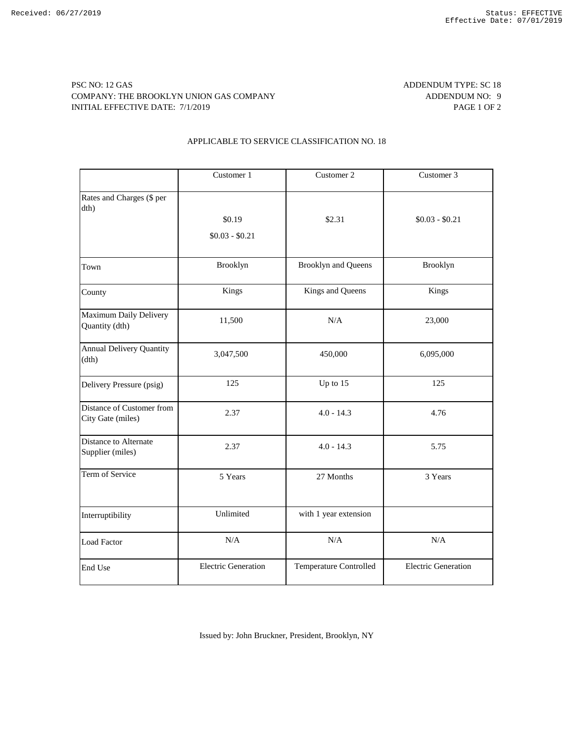## PSC NO: 12 GAS ADDENDUM TYPE: SC 18 COMPANY: THE BROOKLYN UNION GAS COMPANY ADDENDUM NO: 9 INITIAL EFFECTIVE DATE: 7/1/2019 PAGE 1 OF 2

## APPLICABLE TO SERVICE CLASSIFICATION NO. 18

|                                                | Customer 1                 | Customer 2                 | Customer 3                 |
|------------------------------------------------|----------------------------|----------------------------|----------------------------|
| Rates and Charges (\$ per<br>dth)              | \$0.19<br>$$0.03 - $0.21$  | \$2.31                     | $$0.03 - $0.21$            |
| Town                                           | Brooklyn                   | <b>Brooklyn and Queens</b> | Brooklyn                   |
| County                                         | Kings                      | Kings and Queens           | Kings                      |
| Maximum Daily Delivery<br>Quantity (dth)       | 11,500                     | N/A                        | 23,000                     |
| <b>Annual Delivery Quantity</b><br>(dth)       | 3,047,500                  | 450,000                    | 6,095,000                  |
| Delivery Pressure (psig)                       | 125                        | Up to 15                   | 125                        |
| Distance of Customer from<br>City Gate (miles) | 2.37                       | $4.0 - 14.3$               | 4.76                       |
| Distance to Alternate<br>Supplier (miles)      | 2.37                       | $4.0 - 14.3$               | 5.75                       |
| Term of Service                                | 5 Years                    | 27 Months                  | 3 Years                    |
| Interruptibility                               | Unlimited                  | with 1 year extension      |                            |
| <b>Load Factor</b>                             | N/A                        | N/A                        | N/A                        |
| End Use                                        | <b>Electric Generation</b> | Temperature Controlled     | <b>Electric Generation</b> |

Issued by: John Bruckner, President, Brooklyn, NY